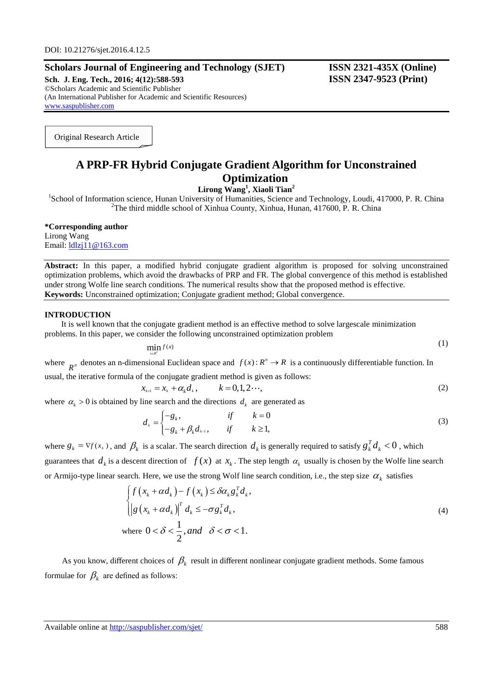# **Scholars Journal of Engineering and Technology (SJET) ISSN 2321-435X (Online)**

**Sch. J. Eng. Tech., 2016; 4(12):588-593 ISSN 2347-9523 (Print)** ©Scholars Academic and Scientific Publisher (An International Publisher for Academic and Scientific Resources) [www.saspublisher.com](http://www.saspublisher.com/)

Original Research Article

# **A PRP-FR Hybrid Conjugate Gradient Algorithm for Unconstrained Optimization**

**Lirong Wang<sup>1</sup> , Xiaoli Tian<sup>2</sup>**

<sup>1</sup>School of Information science, Hunan University of Humanities, Science and Technology, Loudi, 417000, P. R. China <sup>2</sup>The third middle school of Xinhua County, Xinhua, Hunan, 417600, P. R. China

**\*Corresponding author** Lirong Wang Email: [ldlzj11@163.com](mailto:ldlzj11@163.com)

**Abstract:** In this paper, a modified hybrid conjugate gradient algorithm is proposed for solving unconstrained optimization problems, which avoid the drawbacks of PRP and FR. The global convergence of this method is established under strong Wolfe line search conditions. The numerical results show that the proposed method is effective. **Keywords:** Unconstrained optimization; Conjugate gradient method; Global convergence.

#### **INTRODUCTION**

It is well known that the conjugate gradient method is an effective method to solve largescale minimization problems. In this paper, we consider the following unconstrained optimization problem

$$
\min_{x \in \mathbb{R}^n} f(x) \tag{1}
$$

where  $R^n$  denotes an n-dimensional Euclidean space and  $f(x): R^n \to R$  is a continuously differentiable function. In usual, the iterative formula of the conjugate gradient method is given as follows:<br>  $x_{k+1} = x_k + \alpha_k d_k, \qquad k = 0, 1, 2 \cdots,$  (2)

$$
\mathbf{r}_{k+1} = \mathbf{x}_k + \alpha_k \mathbf{d}_k, \qquad k = 0, 1, 2 \cdot \mathbf{d}_k
$$

where  $\alpha_k > 0$  is obtained by line search and the directions  $d_k$  are generated as<br> $d_k = \int -g_k$ , if  $k = 0$ 

$$
d_{k} = \begin{cases} -g_{k}, & \text{if } k = 0\\ -g_{k} + \beta_{k} d_{k-1}, & \text{if } k \ge 1, \end{cases}
$$
 (3)

where  $g_k = \nabla f(x_k)$ , and  $\beta_k$  is a scalar. The search direction  $d_k$  is generally required to satisfy  $g_k^T d_k < 0$ , which guarantees that  $d_k$  is a descent direction of  $f(x)$  at  $x_k$ . The step length  $\alpha_k$  usually is chosen by the Wolfe line search

or Armijo-type linear search. Here, we use the strong Wolf line search condition, i.e., the step size 
$$
\alpha_k
$$
 satisfies\n
$$
\begin{cases}\nf\left(x_k + \alpha d_k\right) - f\left(x_k\right) \le \delta \alpha_k g_k^T d_k, \\
\left|g\left(x_k + \alpha d_k\right)\right|^T d_k \le -\sigma g_k^T d_k,\n\end{cases}
$$
\nwhere  $0 < \delta < \frac{1}{2}$ , and  $\delta < \sigma < 1$ . (4)

As you know, different choices of  $\beta_k$  result in different nonlinear conjugate gradient methods. Some famous formulae for  $\beta_k$  are defined as follows: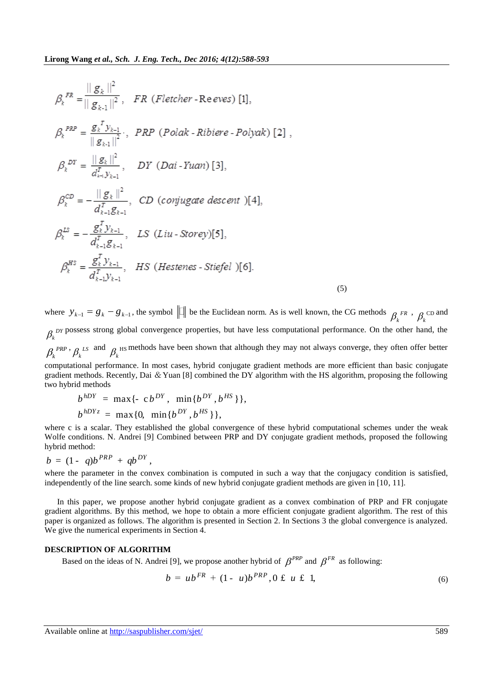$$
\beta_{k}^{FR} = \frac{||g_{k}||^{2}}{||g_{k-1}||^{2}}, \quad FR \text{ (Fletcher - Re eves) [1]},
$$
\n
$$
\beta_{k}^{PRP} = \frac{g_{k}^{T} y_{k-1}}{||g_{k-1}||^{2}}, \quad PRP \text{ (Polak - Ribiere - Polyak) [2]},
$$
\n
$$
\beta_{k}^{DF} = \frac{||g_{k}||^{2}}{d_{k-1}^{T} y_{k-1}}, \quad DY \text{ (Dai - Yuan) [3]},
$$
\n
$$
\beta_{k}^{CD} = -\frac{||g_{k}||^{2}}{d_{k-1}^{T} g_{k-1}}, \quad CD \text{ (conjugate descent) [4]},
$$
\n
$$
\beta_{k}^{LS} = -\frac{g_{k}^{T} y_{k-1}}{d_{k-1}^{T} g_{k-1}}, \quad LS \text{ (Liu - Storey) [5]},
$$
\n
$$
\beta_{k}^{HS} = \frac{g_{k}^{T} y_{k-1}}{d_{k-1}^{T} y_{k-1}}, \quad HS \text{ (Hestenes - Stiefel) [6]}.
$$
\n(5)

where  $y_{k-1} = g_k - g_{k-1}$ , the symbol  $\|\Pi\|$  be the Euclidean norm. As is well known, the CG methods  $\beta_k^{FR}$ ,  $\beta_k^{CD}$  and  $\beta_k$ <sup>DY</sup> possess strong global convergence properties, but have less computational performance. On the other hand, the  $\beta_k^{PRP}$ ,  $\beta_k^{LS}$  and  $\beta_k^{HS}$  methods have been shown that although they may not always converge, they often offer better

computational performance. In most cases, hybrid conjugate gradient methods are more efficient than basic conjugate gradient methods. Recently, Dai & Yuan [8] combined the DY algorithm with the HS algorithm, proposing the following two hybrid methods

d methods  
\n
$$
b^{hDY} = \max \{-c b^{DY}, \min \{b^{DY}, b^{HS}\}\},
$$
\n
$$
b^{hDYz} = \max \{0, \min \{b^{DY}, b^{HS}\}\},
$$

where c is a scalar. They established the global convergence of these hybrid computational schemes under the weak Wolfe conditions. N. Andrei [9] Combined between PRP and DY conjugate gradient methods, proposed the following hybrid method:

$$
b = (1 - q)b^{PRP} + qb^{DY},
$$

where the parameter in the convex combination is computed in such a way that the conjugacy condition is satisfied, independently of the line search. some kinds of new hybrid conjugate gradient methods are given in [10, 11].

In this paper, we propose another hybrid conjugate gradient as a convex combination of PRP and FR conjugate gradient algorithms. By this method, we hope to obtain a more efficient conjugate gradient algorithm. The rest of this paper is organized as follows. The algorithm is presented in Section 2. In Sections 3 the global convergence is analyzed. We give the numerical experiments in Section 4.

### **DESCRIPTION OF ALGORITHM**

Based on the ideas of N. Andrei [9], we propose another hybrid of  $\beta^{PRP}$  and  $\beta^{FR}$  as following:

$$
b = ub^{FR} + (1 - u)b^{PRP}, 0 \text{ ft } u \text{ ft } 1,
$$
 (6)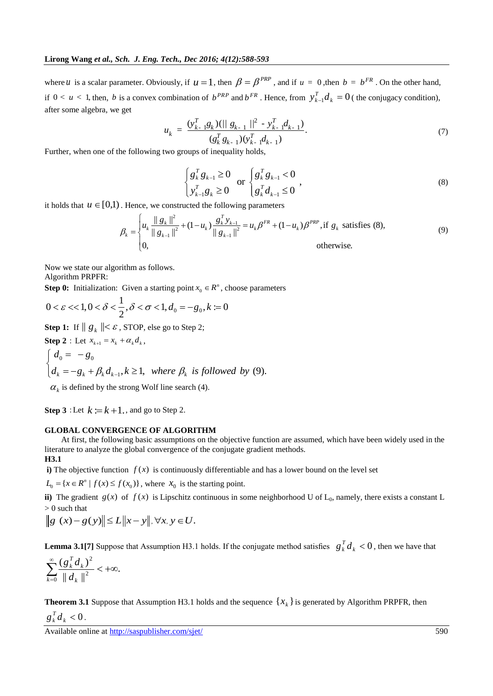where *u* is a scalar parameter. Obviously, if  $u = 1$ , then  $\beta = \beta^{PRP}$ , and if  $u = 0$ , then  $b = b^{FR}$ . On the other hand, if  $0 < u < 1$ , then, b is a convex combination of  $b^{PRP}$  and  $b^{FR}$ . Hence, from  $y_{k-1}^T d_k = 0$  $y_{k-1}^T d_k = 0$  (the conjugacy condition), after some algebra, we get

$$
u_{k} = \frac{(y_{k-1}^{T}g_{k})(||g_{k-1}||^{2} - y_{k-1}^{T}d_{k-1})}{(g_{k}^{T}g_{k-1})(y_{k-1}^{T}d_{k-1})}.
$$
\n(7)

Further, when one of the following two groups of inequality holds,

$$
\begin{cases} g_k^T g_{k-1} \ge 0 \\ y_{k-1}^T g_k \ge 0 \end{cases} \text{ or } \begin{cases} g_k^T g_{k-1} < 0 \\ g_k^T d_{k-1} \le 0 \end{cases}, \tag{8}
$$

it holds that  $u \in [0,1)$ . Hence, we constructed the following parameters

$$
\left\{ y_{k-1}^T g_k \ge 0 \right\} \quad \left\{ g_k^T d_{k-1} \le 0 \right\}
$$
\nHence, we constructed the following parameters

\n
$$
\beta_k = \begin{cases}\n u_k \frac{\|g_k\|^2}{\|g_{k-1}\|^2} + (1 - u_k) \frac{g_k^T y_{k-1}}{\|g_{k-1}\|^2} = u_k \beta^{FR} + (1 - u_k) \beta^{PRP}, \text{if } g_k \text{ satisfies (8)},\\
 0, \text{otherwise.}\n\end{cases}
$$
\n(9)

Now we state our algorithm as follows. Algorithm PRPFR:

**Step 0:** Initialization: Given a starting point 
$$
x_0 \in R^n
$$
, choose parameters  
  $0 < \varepsilon < 1, 0 < \delta < \frac{1}{2}, \delta < \sigma < 1, d_0 = -g_0, k := 0$ 

Step 1: If 
$$
||g_k|| < \varepsilon
$$
, STOP, else go to Step 2;  
\nStep 2: Let  $x_{k+1} = x_k + \alpha_k d_k$ ,  
\n
$$
\begin{cases}\nd_0 = -g_0 \\
d_k = -g_k + \beta_k d_{k-1}, k \ge 1, \text{ where } \beta_k \text{ is followed by (9).}\n\end{cases}
$$

 $\alpha_k$  is defined by the strong Wolf line search (4).

**Step 3** : Let  $k := k + 1$ , and go to Step 2.

#### **GLOBAL CONVERGENCE OF ALGORITHM**

At first, the following basic assumptions on the objective function are assumed, which have been widely used in the literature to analyze the global convergence of the conjugate gradient methods. **H3.1**

**i**) The objective function  $f(x)$  is continuously differentiable and has a lower bound on the level set

 $L_0 = \{x \in \mathbb{R}^n \mid f(x) \le f(x_0)\}\,$ , where  $x_0$  is the starting point.

ii) The gradient  $g(x)$  of  $f(x)$  is Lipschitz continuous in some neighborhood U of  $L_0$ , namely, there exists a constant L > 0 such that

$$
|0 \text{ such that}
$$
  

$$
\|g(x) - g(y)\| \le L \|x - y\|, \forall x, y \in U.
$$

**Lemma 3.1[7]** Suppose that Assumption H3.1 holds. If the conjugate method satisfies  $g_k^T d_k < 0$ , then we have that

$$
\sum_{k=0}^{\infty} \frac{\left(g_k^T d_k\right)^2}{\|d_k\|^2} < +\infty.
$$

**Theorem 3.1** Suppose that Assumption H3.1 holds and the sequence  $\{x_k\}$  is generated by Algorithm PRPFR, then  $g_k^T d_k < 0$ .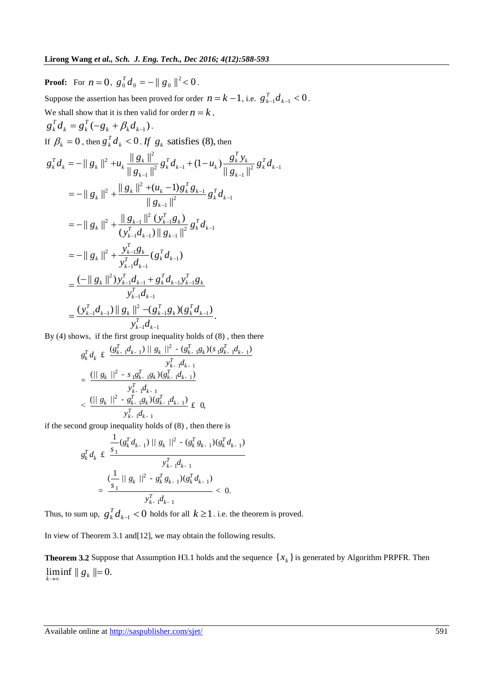**Proof:** For  $n = 0$ ,  $g_0^T d_0 = - || g_0 ||^2 < 0$ . Suppose the assertion has been proved for order  $n = k - 1$ , i.e.  $g_{k-1}^T d_{k-1} < 0$ . We shall show that it is then valid for order  $n = k$ ,  $= g_k^T(-g_k + \beta_k d_{k-1})$  $k - \delta k$  $g_k^T d_k = g_k^T (-g_k + \beta_k d_{k-1}).$ If  $\beta_k = 0$ , then  $g_k^T d_k < 0$ . If  $g_k$  satisfies (8), then 2,  $||g_k||^2$  $\frac{1}{2} g_k^T d_{k-1} + (1 - u_k) \frac{g_k^T y_k}{\|g_{k-1}\|^2} g_k^T d_{k-1}$  $\frac{1}{(1+1)^2} g_k^T d_{k-1} + (1-u_k) \frac{\delta k}{\parallel g_{k-1}}$  $\frac{1}{2}$   $\|g_k\|^2 + (u_k - 1)g_k^T g_{k-1}$ 2  $\delta_k \mathbf{u}_{k-1}$  $g_k^T d_k = - || g_k ||^2 + u_k \frac{|| g_k ||^2}{|| g_{k-1} ||^2} g_k^T d_k$ <br>=  $- || g_k ||^2 + \frac{|| g_k ||^2 + (u_k - 1)}{|| g_{k-1} ||^2}$ 2 <sup>11</sup>  $S_{k-1}$   $\frac{\parallel g_{k-1} \parallel^2 (y_{k-1}^T g_k)}{(y_{k-1}^T d_{k-1}) \parallel g_{k-1} \parallel^2} g_k^T d_{k-1}$ then  $g_k^T d_k < 0$ . If  $g_k$  satisfies (8), then  $g_k^T d_k < 0$ . If  $g_k$  satisfies (8), then  $||g_k||^2 + u_k \frac{||g_k||^2}{||g_k||^2} g_k^T d_{k-1} + (1 - u_k)$  $\frac{||g_k||^2}{||g_{k-1}||^2} g_k^T d_{k-1} + (1 - u_k) \frac{g_k^T y_k}{||g_{k-1}||^2}$  $\frac{1}{\| \cdot \|_{\ell_{k-1}}}{\| g_{k-1} \|_{\ell_{k-1}}$  $= - || g_k ||^2 + \frac{|| s_k ||^2 (a_k - 1) g_k}{|| g_{k-1} ||^2}$ <br>=  $- || g_k ||^2 + \frac{|| g_{k-1} ||^2 (y_{k-1}^T g_k)}{(y_{k-1}^T g_{k-1} || g_{k-1} ||^2)}$  $\frac{\|g_{k-1}\|}{\|g_{k-1}\|^2} \frac{\|g_{k-1}\|^2}{\left(y_{k-1}^T d_{k-1}\right)\|g_{k-1}\|}$  $= -||g_k||^2 +$ *T*  $T_k^T d_k = - \|g_k\|^2 + u_k \frac{\|g_k\|^2}{\|g_{k-1}\|^2} g_k^T d_{k-1} + (1 - u_k) \frac{g_k^T y_k}{\|g_{k-1}\|^2} g_k^T d_k$  $\frac{\sum_{k=1}^{k} ||k||^2}{\sum_{k=1}^{k} ||k||^2} g_k^T d_{k-1} + (1 - u_k) \frac{\delta k}{||g_k||^2}$ *T*  $\begin{aligned} \mathbf{g}_k \parallel^2 + \mathbf{u}_k \frac{\parallel \mathbf{g}_k \parallel}{\parallel \mathbf{g}_{k-1} \parallel^2} \mathbf{g}_k^T \mathbf{d}_{k-1} + (1 - \mathbf{u}_k) - \ \mathbf{g}_k \parallel^2 + \frac{\parallel \mathbf{g}_k \parallel^2 + (\mathbf{u}_k - 1) \mathbf{g}_k^T \mathbf{g}_{k-1}}{\parallel \mathbf{g}_{k-1} \parallel^2} \mathbf{g}_k^T \mathbf{d}_k \end{aligned}$ *T*  $\|k\|^2 + \frac{\|g_{k-1}\|^2 (y_{k-1}^T g_k)}{(y_{k-1}^T d_{k-1}) \|g_{k-1}\|^2} g_k^T d_k$  $\frac{\delta_{k-1} \parallel \langle y_{k-1} \rangle}{\delta_{k-1} d_{k-1}}$ *g*<sub>*k*</sub>  $g_k - g_k$  *g<sub>k</sub>*  $g_k$  *g<sub>k</sub> g<sub>k</sub>* satisfies (8), then<br> *g*<sub>*k*</sub> *d<sub>k</sub>* = - || *g<sub>k</sub>* ||<sup>2</sup> + *u<sub>k</sub>*  $\frac{||g_k||^2}{||g_{k+1}||^2} g_k^T d_{k-1} + (1 - u_k) \frac{g_k^T y_k}{||g_{k+1}||^2} g_k^T d_{k-1}$ *g<sub>k</sub>*  $\left\| \frac{g_k}{g_{k-1}} \right\|^2$   $g_k^T d_{k-1} + (1 - u_k) \frac{g}{\| g_{k-1} \|_2^2}$  $g_k \|^2 + \frac{\|g_k\| + \sqrt{\alpha_k^2 + 2g_k^2}g_{k-1}}{\|g_{k-1}\|^2}$ <br> $g_k \|^2 + \frac{\|g_{k-1}\|^2 (y_{k-1}^T g_k)}{(y_{k-1}^T d_{k-1})\|g_{k-1}\|^2} g_k^T d_k$  $\frac{\|g_{k-1}\|^2 (y_{k-1}^T g_k)}{y_{k-1}^T d_{k-1}} \frac{g_{k-1}}{\|g_{k-1}\|^2} g_k^T d_{k-1}$  $\frac{1}{(1-1)(1-u_k)} \frac{g_k^T y_k}{\|g_{k-1}\|^2} g_k^T d_{k-1}$  $\frac{k}{\left\| -1 \right\|^2} g_k^T d_{k-1} + (1 - u_k) \frac{g_k y_k}{\left\| g_{k-1} \right\|^2} g_k$  $\stackrel{-1}{=} g_k^T d_{k-}$ -= 0, then  $g_k^T d_k < 0$ . If  $g_k$  satisfies (8), then<br>=  $- || g_k ||^2 + u_k \frac{|| g_k ||^2}{|| g_k ||^2} g_k^T d_{k-1} + (1 - u_k) \frac{g_k^T}{|| g_k ||^2}$ =- $||g_k||^2 + u_k \frac{||g_k||}{||g_{k-1}||^2} g_k^T d_{k-1} + (1 -$ <br>=- $||g_k||^2 + \frac{||g_k||^2 + (u_k - 1)g_k^T g_{k-1}}{||g_k||^2}$  $= - ||g_k||^2 + \frac{||g_{k-1}||^2}{(v_k^T, d_k)}$  $2 + \frac{y_{k-1}g_k}{y_{k-1}^T d_{k-1}} (g_k^T d_{k-1})$ 2  $\frac{1}{11}d_{k-1} + g_k^T d_{k-1} y_{k-1}^T$  $\frac{k-1}{1}$ <br> $\frac{1}{d_{k-1}}$ 2  $\|d_{k-1})\|g_k\|^2 - (g_{k-1}^T g_k)(g_k^T d_{k-1})$  $\frac{8}{10^{1}}$  $\begin{aligned} &\|\left( \bigvee_{k=1}^{T} d_{k-1} \big) \| \bigvee_{k=1}^{T} \| d_{k-1} \bigw\| \ &\|^{2} + \frac{\mathbf{y}_{k-1}^{T} \mathcal{g}_{k}}{\mathbf{y}_{k-1}^{T} \mathcal{g}_{k-1}} \big( \mathbf{g}_{k}^{T} d_{k-1} \big) \end{aligned}$  $-||g_k||^2 +$ <br>(- $||g_k||^2$ )  $=\frac{(y_{k-1}^T d_{k-1})\|g_k\|^2 - (g_{k-1}^T g_k) (g_k^T d_{k-1})}{y_{k-1}^T d_{k-1}}$ <br>=  $\frac{(y_{k-1}^T d_{k-1})\|g_k\|^2 - (g_{k-1}^T g_k) (g_k^T d_{k-1})}{x}$ . *T*  $y_{k-1}^T$ <br>  $y_{k-1}^T g_k$   $(g_k^T d_k)$  $\frac{r_{k-1}}{r_k}$  $y_{k-1}^T d_{k-1}$ <br>*T*<sub>*t*</sub>, *d<sub>t</sub>*, +  $g_t^T d_{t-1} y_t^T$  $\frac{k}{k}$   $\frac{f(x)}{f(x)}$   $\frac{f(x)}{f(x)}$   $\frac{f(x)}{f(x)}$   $\frac{f(x)}{f(x)}$   $\frac{f(x)}{f(x)}$  $\frac{a_{k-1}}{a_{k-1}}$  $y_{k-1}^T d_{k-1}$ <br>*T*  $d_{k-1}$   $\|g_{k-1}\|^2 = (g_{k-1}^T g_{k-1})(g_{k-1}^T g_{k-1}^T g_{k-1}^T g_{k-1}^T g_{k-1}^T g_{k-1}^T g_{k-1}^T g_{k-1}^T g_{k-1}^T g_{k-1}^T g_{k-1}^T g_{k-1}^T g_{k-1}^T g_{k-1}^T g_{k-1}^T g_{k-1}^T g_{k-1}^T g_{k-1}^T g_{k-1}^T g_{k-1}^T g_{k \frac{f_{k-1}f_{k-1}}{g_{k-1}g_{k-1}}$   $\frac{f_{k-1}f_{k-1}}{g_{k-1}g_{k-1}g_{k-1}g_{k-1}g_{k}g_{k}g_{k-1}g_{k-1}g_{k-1}g_{k-1}g_{k-1}g_{k-1}g_{k-1}g_{k-1}g_{k-1}g_{k-1}g_{k-1}g_{k-1}g_{k-1}g_{k-1}g_{k-1}g_{k-1}g_{k-1}g_{k-1}g_{k-1}g_{k-1}g_{k-1}g_{k-1}g_{k-1}g_{k$  $\frac{T}{\sum_{k=1}^{T} d_k}$  $\frac{y_{k-1}^T f(x_{k-1})}{y_{k-1}^T d_{k-1}}$ <br> $\frac{y_{k-1}^T g_k}{y_{k-1}^T g_{k-1}}$  (*g*<sup>*t*</sup> *d*<sub>*t*</sub> *d*<sub>*t*</sub> *d*<sub>*t*</sub> *d*<sub>*t*</sub> *d*<sub>*t*</sub> *d*<sub>*t*</sub> *d*<sub>*t*</sub> *d*<sub>*t*</sub> *d*<sub>*t*</sub> *d*<sub>*t*</sub> *d*<sub>*t*</sub> *d*<sub>*t*</sub> *d*<sub>*t*</sub> *d*<sub>*t*</sub> *d*<sub>*t*</sub> *d*<sub>*t*</sub>  $\frac{y_{k-1}^T}{y_{k-1}^T d}$  $g_k ||_k^2 + \frac{y_{k-1} s_k}{y_{k-1}^T d_{k-1}} (g_k^T d_{k-1})$ <br> $g_k ||_k^2 y_{k-1}^T d_{k-1} + g_k^T d_{k-1} y_{k-1}^T g_k$  $\frac{y_{k-1} - d_{k-1}}{y_{k-1}^T d_{k-1}} + g_k^T d_{k-1} y_{k-1}^T g_k$  $\frac{y_{k-1}^T d_{k-1} + g_k a_{k-1} y_{k-1}^T g_k}{y_{k-1}^T d_{k-1}}$ <br> $\frac{y_{k-1}^T d_{k-1}}{y_{k-1}^T g_k} = \frac{g_k^T g_k g_k^T g_k}{g_k^T g_k^T g_k}$  $\frac{d_{k-1}d_{k-1}}{g_{k-1}g_{k-1}}$ <br>  $\frac{d_{k-1}d_{k-1}}{g_{k-1}g_{k-1}}$  $+\frac{y_{k-1}g_k}{y_{k-1}^T d_{k-1}} (g_k^T d_{k-1})$  $\frac{a_{k-1} + g_k a_k}{a_{k-1}}$  $=\frac{(y_{k-1}^T d_{k-1})\|g_k\|^2 - (g_{k-1}^T g_k)}{y_{k-1}^T d_{k-1}}$ =- $||g_k||^2 + \frac{y_{k-1}g_k}{y_{k-1}^T d_{k-1}} (g_k^T d_{k-1})$ <br>= $\frac{(-||g_k||^2)y_{k-1}^T d_{k-1} + g_k^T d_{k-1}y_k^T}{T}$ 

By (4) shows, if the first group inequality holds of (8), then there  
\n
$$
g_k^T d_k \n\leq \frac{(g_{k-1}^T d_{k-1}) || g_k ||^2 - (g_{k-1}^T g_k)(s_1 g_{k-1}^T d_{k-1})}{y_{k-1}^T d_{k-1}}
$$
\n
$$
= \frac{(|| g_k ||^2 - s_1 g_{k-1}^T g_k)(g_{k-1}^T d_{k-1})}{y_{k-1}^T d_{k-1}}
$$
\n
$$
< \frac{(|| g_k ||^2 - g_{k-1}^T g_k)(g_{k-1}^T d_{k-1})}{y_{k-1}^T d_{k-1}} \n\leq 0,
$$

if the second group inequality holds of (8), then there is  
\n
$$
\frac{1}{g_k^T d_k} \int_{g_k} \frac{g_1^T g_{k-1}}{g_{k-1}^T d_{k-1}}
$$
\n
$$
= \frac{\left(\frac{1}{g_1} \|\|g_k\|\right)^2 - g_k^T g_{k-1}}{g_{k-1}^T d_{k-1}}
$$
\n
$$
= \frac{\left(\frac{1}{g_1} \|\|g_k\|\right)^2 - g_k^T g_{k-1}}{g_{k-1}^T d_{k-1}} < 0.
$$

Thus, to sum up,  $g_k^T d_{k-1} < 0$  holds for all  $k \ge 1$ . i.e. the theorem is proved.

In view of Theorem 3.1 and[12], we may obtain the following results.

**Theorem 3.2** Suppose that Assumption H3.1 holds and the sequence  $\{x_k\}$  is generated by Algorithm PRPFR. Then  $\liminf_{k\to\infty}$   $||g_k||=0.$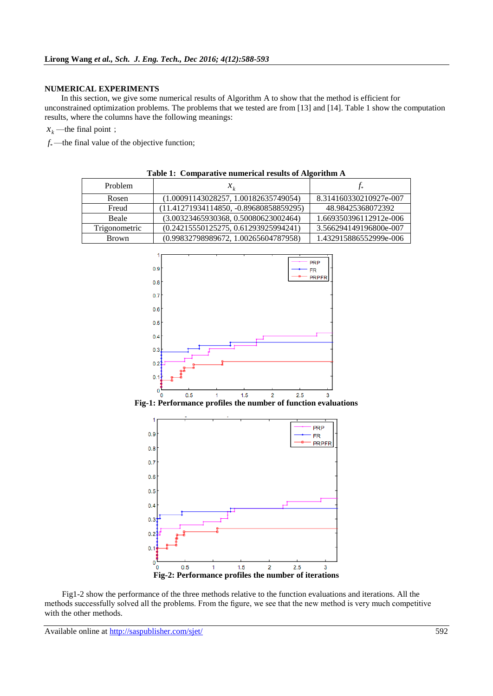## **NUMERICAL EXPERIMENTS**

In this section, we give some numerical results of Algorithm A to show that the method is efficient for unconstrained optimization problems. The problems that we tested are from [13] and [14]. Table 1 show the computation results, where the columns have the following meanings:

 $x_k$ —the final point;

 $f_*$ —the final value of the objective function;

| Table 1: Comparative numerical results of Algorithm A |                                          |                        |
|-------------------------------------------------------|------------------------------------------|------------------------|
| <b>Problem</b>                                        | $x_{\iota}$                              |                        |
| Rosen                                                 | (1.00091143028257, 1.00182635749054)     | 8.314160330210927e-007 |
| Freud                                                 | $(11.41271934114850, -0.89680858859295)$ | 48.98425368072392      |
| <b>Beale</b>                                          | (3.00323465930368, 0.50080623002464)     | 1.669350396112912e-006 |
| Trigonometric                                         | (0.24215550125275, 0.61293925994241)     | 3.566294149196800e-007 |
| <b>Brown</b>                                          | (0.99832798989672, 1.00265604787958)     | 1.432915886552999e-006 |



Fig1-2 show the performance of the three methods relative to the function evaluations and iterations. All the methods successfully solved all the problems. From the figure, we see that the new method is very much competitive with the other methods.